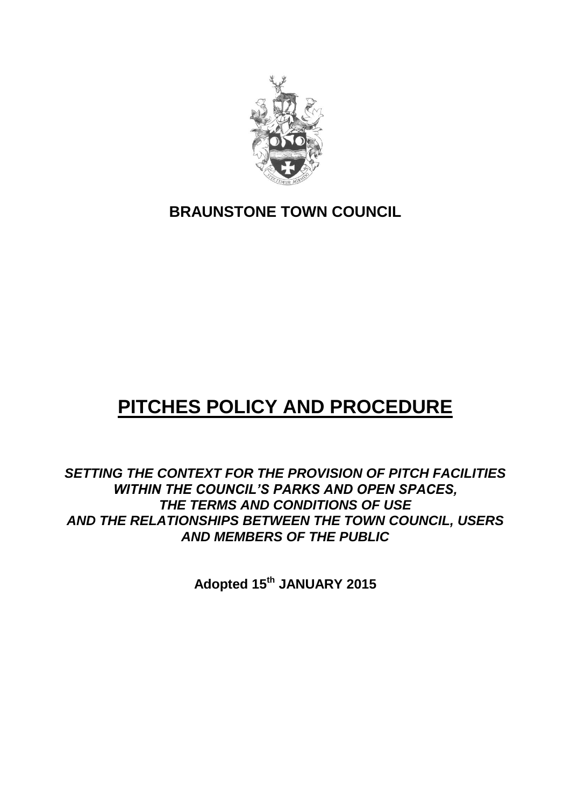

## **BRAUNSTONE TOWN COUNCIL**

# **PITCHES POLICY AND PROCEDURE**

*SETTING THE CONTEXT FOR THE PROVISION OF PITCH FACILITIES WITHIN THE COUNCIL'S PARKS AND OPEN SPACES, THE TERMS AND CONDITIONS OF USE AND THE RELATIONSHIPS BETWEEN THE TOWN COUNCIL, USERS AND MEMBERS OF THE PUBLIC*

**Adopted 15th JANUARY 2015**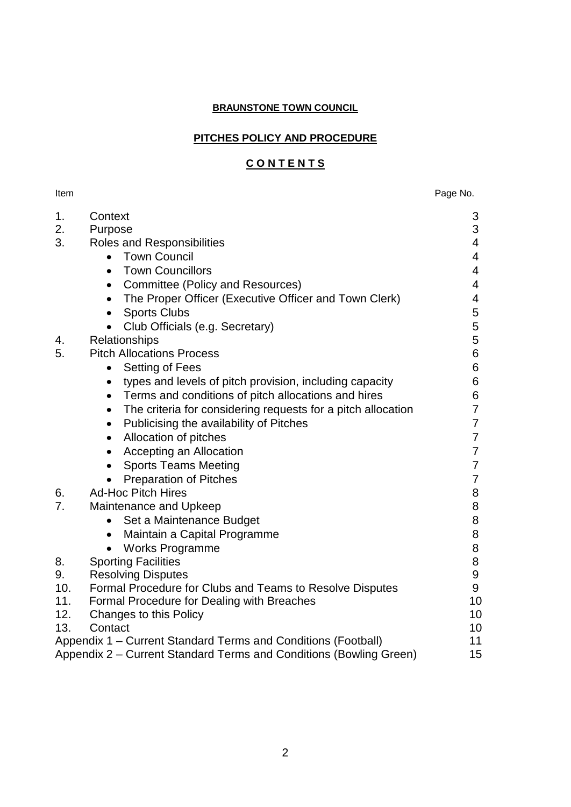## **BRAUNSTONE TOWN COUNCIL**

## **PITCHES POLICY AND PROCEDURE**

## **C O N T E N T S**

Item **Internal Contract Contract Contract Contract Contract Contract Contract Contract Contract Contract Contract Contract Contract Contract Contract Contract Contract Contract Contract Contract Contract Contract Contract** 

| 1.  | Context                                                                   | 3                |  |
|-----|---------------------------------------------------------------------------|------------------|--|
| 2.  | Purpose                                                                   | 3                |  |
| 3.  | Roles and Responsibilities                                                | 4                |  |
|     | <b>Town Council</b><br>$\bullet$                                          | 4                |  |
|     | <b>Town Councillors</b><br>$\bullet$                                      | $\overline{4}$   |  |
|     | Committee (Policy and Resources)<br>$\bullet$                             | $\overline{4}$   |  |
|     | The Proper Officer (Executive Officer and Town Clerk)<br>$\bullet$        | 4                |  |
|     | <b>Sports Clubs</b><br>$\bullet$                                          | 5                |  |
|     | Club Officials (e.g. Secretary)                                           | 5                |  |
| 4.  | Relationships                                                             | 5                |  |
| 5.  | <b>Pitch Allocations Process</b>                                          | 6                |  |
|     | Setting of Fees                                                           | 6                |  |
|     | types and levels of pitch provision, including capacity<br>$\bullet$      | 6                |  |
|     | Terms and conditions of pitch allocations and hires<br>$\bullet$          | 6                |  |
|     | The criteria for considering requests for a pitch allocation<br>$\bullet$ | $\overline{7}$   |  |
|     | Publicising the availability of Pitches<br>$\bullet$                      | $\overline{7}$   |  |
|     | Allocation of pitches<br>$\bullet$                                        | $\overline{7}$   |  |
|     | Accepting an Allocation<br>$\bullet$                                      | $\overline{7}$   |  |
|     | <b>Sports Teams Meeting</b>                                               | $\overline{7}$   |  |
|     | <b>Preparation of Pitches</b>                                             | $\overline{7}$   |  |
| 6.  | <b>Ad-Hoc Pitch Hires</b>                                                 | 8                |  |
| 7.  | Maintenance and Upkeep                                                    | 8                |  |
|     | Set a Maintenance Budget<br>$\bullet$                                     | 8                |  |
|     | Maintain a Capital Programme<br>$\bullet$                                 | 8                |  |
|     | <b>Works Programme</b><br>$\bullet$                                       | 8                |  |
| 8.  | <b>Sporting Facilities</b>                                                | 8                |  |
| 9.  | <b>Resolving Disputes</b>                                                 | $\boldsymbol{9}$ |  |
| 10. | Formal Procedure for Clubs and Teams to Resolve Disputes                  | 9                |  |
| 11. | Formal Procedure for Dealing with Breaches                                | 10               |  |
| 12. | Changes to this Policy                                                    |                  |  |
| 13. | Contact                                                                   | 10               |  |
|     | Appendix 1 – Current Standard Terms and Conditions (Football)             | 11               |  |
|     | Appendix 2 - Current Standard Terms and Conditions (Bowling Green)        | 15               |  |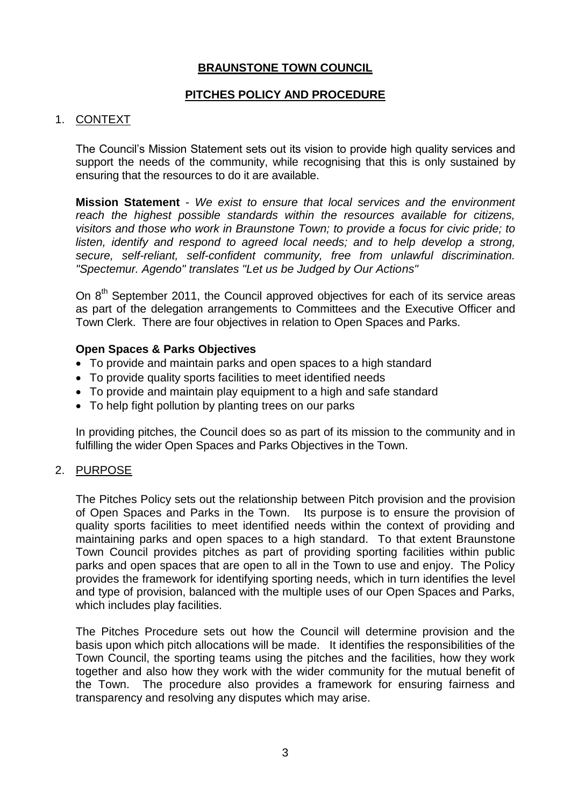## **BRAUNSTONE TOWN COUNCIL**

## **PITCHES POLICY AND PROCEDURE**

#### 1. CONTEXT

The Council's Mission Statement sets out its vision to provide high quality services and support the needs of the community, while recognising that this is only sustained by ensuring that the resources to do it are available.

**Mission Statement** - *We exist to ensure that local services and the environment reach the highest possible standards within the resources available for citizens, visitors and those who work in Braunstone Town; to provide a focus for civic pride; to listen, identify and respond to agreed local needs; and to help develop a strong, secure, self-reliant, self-confident community, free from unlawful discrimination. "Spectemur. Agendo" translates "Let us be Judged by Our Actions"*

On 8<sup>th</sup> September 2011, the Council approved objectives for each of its service areas as part of the delegation arrangements to Committees and the Executive Officer and Town Clerk. There are four objectives in relation to Open Spaces and Parks.

#### **Open Spaces & Parks Objectives**

- To provide and maintain parks and open spaces to a high standard
- To provide quality sports facilities to meet identified needs
- To provide and maintain play equipment to a high and safe standard
- To help fight pollution by planting trees on our parks

In providing pitches, the Council does so as part of its mission to the community and in fulfilling the wider Open Spaces and Parks Objectives in the Town.

#### 2. PURPOSE

The Pitches Policy sets out the relationship between Pitch provision and the provision of Open Spaces and Parks in the Town. Its purpose is to ensure the provision of quality sports facilities to meet identified needs within the context of providing and maintaining parks and open spaces to a high standard. To that extent Braunstone Town Council provides pitches as part of providing sporting facilities within public parks and open spaces that are open to all in the Town to use and enjoy. The Policy provides the framework for identifying sporting needs, which in turn identifies the level and type of provision, balanced with the multiple uses of our Open Spaces and Parks, which includes play facilities.

The Pitches Procedure sets out how the Council will determine provision and the basis upon which pitch allocations will be made. It identifies the responsibilities of the Town Council, the sporting teams using the pitches and the facilities, how they work together and also how they work with the wider community for the mutual benefit of the Town. The procedure also provides a framework for ensuring fairness and transparency and resolving any disputes which may arise.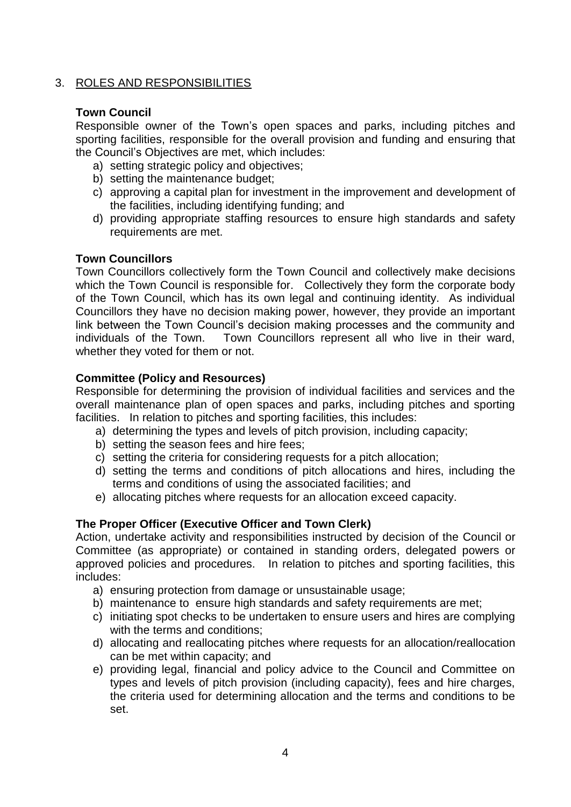## 3. ROLES AND RESPONSIBILITIES

## **Town Council**

Responsible owner of the Town's open spaces and parks, including pitches and sporting facilities, responsible for the overall provision and funding and ensuring that the Council's Objectives are met, which includes:

- a) setting strategic policy and objectives;
- b) setting the maintenance budget;
- c) approving a capital plan for investment in the improvement and development of the facilities, including identifying funding; and
- d) providing appropriate staffing resources to ensure high standards and safety requirements are met.

## **Town Councillors**

Town Councillors collectively form the Town Council and collectively make decisions which the Town Council is responsible for. Collectively they form the corporate body of the Town Council, which has its own legal and continuing identity. As individual Councillors they have no decision making power, however, they provide an important link between the Town Council's decision making processes and the community and individuals of the Town. Town Councillors represent all who live in their ward, whether they voted for them or not.

## **Committee (Policy and Resources)**

Responsible for determining the provision of individual facilities and services and the overall maintenance plan of open spaces and parks, including pitches and sporting facilities. In relation to pitches and sporting facilities, this includes:

- a) determining the types and levels of pitch provision, including capacity;
- b) setting the season fees and hire fees;
- c) setting the criteria for considering requests for a pitch allocation;
- d) setting the terms and conditions of pitch allocations and hires, including the terms and conditions of using the associated facilities; and
- e) allocating pitches where requests for an allocation exceed capacity.

## **The Proper Officer (Executive Officer and Town Clerk)**

Action, undertake activity and responsibilities instructed by decision of the Council or Committee (as appropriate) or contained in standing orders, delegated powers or approved policies and procedures. In relation to pitches and sporting facilities, this includes:

- a) ensuring protection from damage or unsustainable usage;
- b) maintenance to ensure high standards and safety requirements are met;
- c) initiating spot checks to be undertaken to ensure users and hires are complying with the terms and conditions;
- d) allocating and reallocating pitches where requests for an allocation/reallocation can be met within capacity; and
- e) providing legal, financial and policy advice to the Council and Committee on types and levels of pitch provision (including capacity), fees and hire charges, the criteria used for determining allocation and the terms and conditions to be set.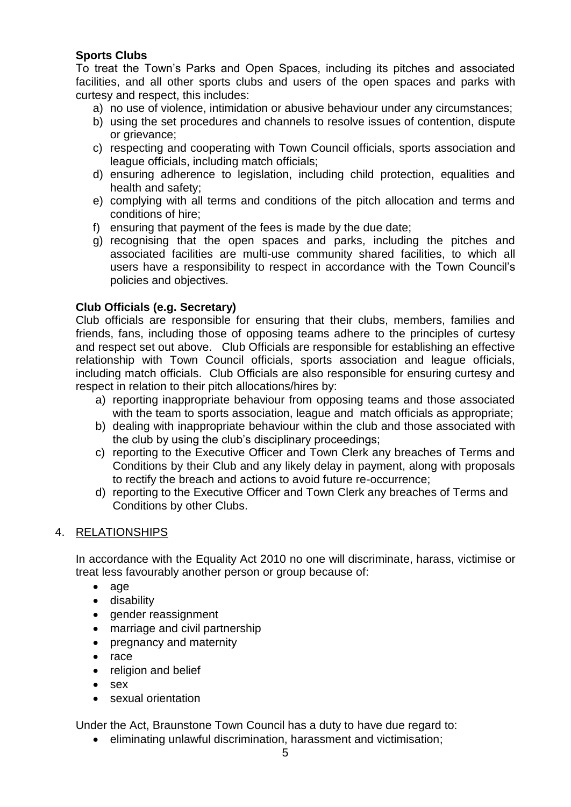## **Sports Clubs**

To treat the Town's Parks and Open Spaces, including its pitches and associated facilities, and all other sports clubs and users of the open spaces and parks with curtesy and respect, this includes:

- a) no use of violence, intimidation or abusive behaviour under any circumstances;
- b) using the set procedures and channels to resolve issues of contention, dispute or grievance;
- c) respecting and cooperating with Town Council officials, sports association and league officials, including match officials;
- d) ensuring adherence to legislation, including child protection, equalities and health and safety;
- e) complying with all terms and conditions of the pitch allocation and terms and conditions of hire;
- f) ensuring that payment of the fees is made by the due date;
- g) recognising that the open spaces and parks, including the pitches and associated facilities are multi-use community shared facilities, to which all users have a responsibility to respect in accordance with the Town Council's policies and objectives.

## **Club Officials (e.g. Secretary)**

Club officials are responsible for ensuring that their clubs, members, families and friends, fans, including those of opposing teams adhere to the principles of curtesy and respect set out above. Club Officials are responsible for establishing an effective relationship with Town Council officials, sports association and league officials, including match officials. Club Officials are also responsible for ensuring curtesy and respect in relation to their pitch allocations/hires by:

- a) reporting inappropriate behaviour from opposing teams and those associated with the team to sports association, league and match officials as appropriate;
- b) dealing with inappropriate behaviour within the club and those associated with the club by using the club's disciplinary proceedings;
- c) reporting to the Executive Officer and Town Clerk any breaches of Terms and Conditions by their Club and any likely delay in payment, along with proposals to rectify the breach and actions to avoid future re-occurrence;
- d) reporting to the Executive Officer and Town Clerk any breaches of Terms and Conditions by other Clubs.

## 4. RELATIONSHIPS

In accordance with the Equality Act 2010 no one will discriminate, harass, victimise or treat less favourably another person or group because of:

- age
- disability
- gender reassignment
- marriage and civil partnership
- pregnancy and maternity
- race
- religion and belief
- sex
- sexual orientation

Under the Act, Braunstone Town Council has a duty to have due regard to:

eliminating unlawful discrimination, harassment and victimisation;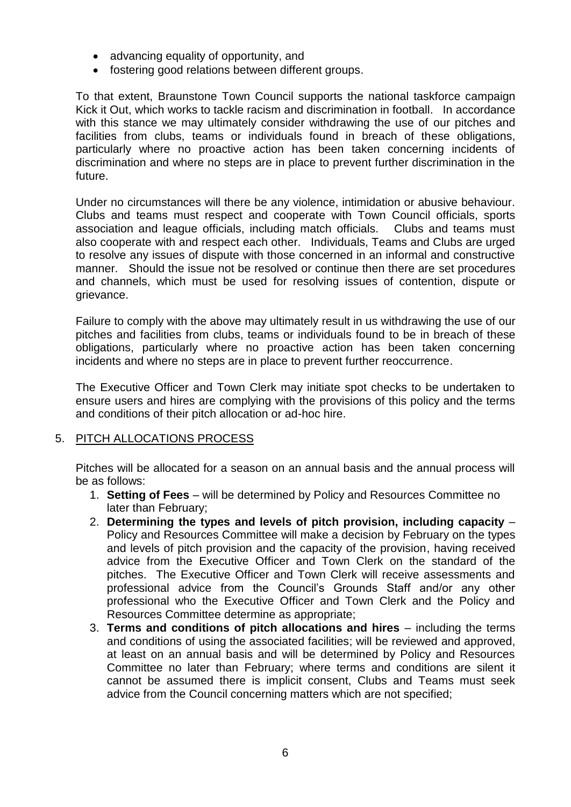- advancing equality of opportunity, and
- fostering good relations between different groups.

To that extent, Braunstone Town Council supports the national taskforce campaign Kick it Out, which works to tackle racism and discrimination in football. In accordance with this stance we may ultimately consider withdrawing the use of our pitches and facilities from clubs, teams or individuals found in breach of these obligations, particularly where no proactive action has been taken concerning incidents of discrimination and where no steps are in place to prevent further discrimination in the future.

Under no circumstances will there be any violence, intimidation or abusive behaviour. Clubs and teams must respect and cooperate with Town Council officials, sports association and league officials, including match officials. Clubs and teams must also cooperate with and respect each other. Individuals, Teams and Clubs are urged to resolve any issues of dispute with those concerned in an informal and constructive manner. Should the issue not be resolved or continue then there are set procedures and channels, which must be used for resolving issues of contention, dispute or grievance.

Failure to comply with the above may ultimately result in us withdrawing the use of our pitches and facilities from clubs, teams or individuals found to be in breach of these obligations, particularly where no proactive action has been taken concerning incidents and where no steps are in place to prevent further reoccurrence.

The Executive Officer and Town Clerk may initiate spot checks to be undertaken to ensure users and hires are complying with the provisions of this policy and the terms and conditions of their pitch allocation or ad-hoc hire.

## 5. PITCH ALLOCATIONS PROCESS

Pitches will be allocated for a season on an annual basis and the annual process will be as follows:

- 1. **Setting of Fees**  will be determined by Policy and Resources Committee no later than February;
- 2. **Determining the types and levels of pitch provision, including capacity** Policy and Resources Committee will make a decision by February on the types and levels of pitch provision and the capacity of the provision, having received advice from the Executive Officer and Town Clerk on the standard of the pitches. The Executive Officer and Town Clerk will receive assessments and professional advice from the Council's Grounds Staff and/or any other professional who the Executive Officer and Town Clerk and the Policy and Resources Committee determine as appropriate;
- 3. **Terms and conditions of pitch allocations and hires** including the terms and conditions of using the associated facilities; will be reviewed and approved, at least on an annual basis and will be determined by Policy and Resources Committee no later than February; where terms and conditions are silent it cannot be assumed there is implicit consent, Clubs and Teams must seek advice from the Council concerning matters which are not specified;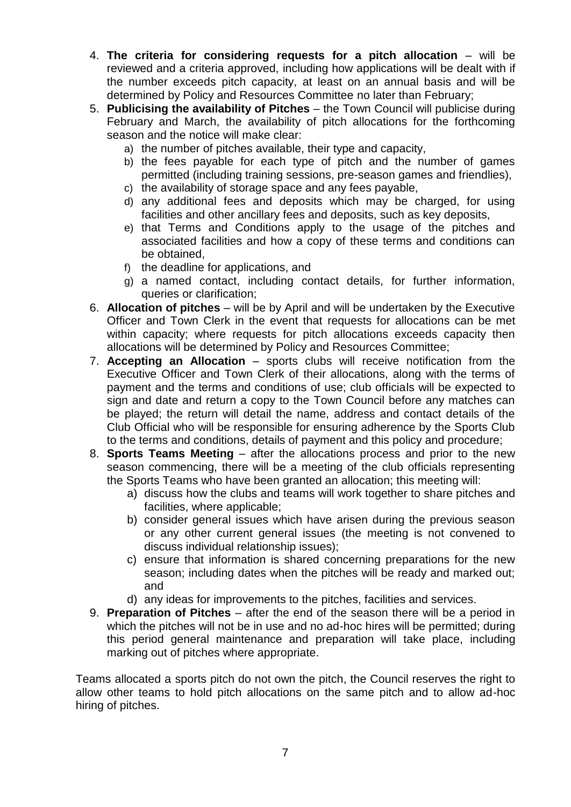- 4. **The criteria for considering requests for a pitch allocation** will be reviewed and a criteria approved, including how applications will be dealt with if the number exceeds pitch capacity, at least on an annual basis and will be determined by Policy and Resources Committee no later than February;
- 5. **Publicising the availability of Pitches** the Town Council will publicise during February and March, the availability of pitch allocations for the forthcoming season and the notice will make clear:
	- a) the number of pitches available, their type and capacity,
	- b) the fees payable for each type of pitch and the number of games permitted (including training sessions, pre-season games and friendlies),
	- c) the availability of storage space and any fees payable,
	- d) any additional fees and deposits which may be charged, for using facilities and other ancillary fees and deposits, such as key deposits,
	- e) that Terms and Conditions apply to the usage of the pitches and associated facilities and how a copy of these terms and conditions can be obtained,
	- f) the deadline for applications, and
	- g) a named contact, including contact details, for further information, queries or clarification;
- 6. **Allocation of pitches**  will be by April and will be undertaken by the Executive Officer and Town Clerk in the event that requests for allocations can be met within capacity; where requests for pitch allocations exceeds capacity then allocations will be determined by Policy and Resources Committee;
- 7. **Accepting an Allocation**  sports clubs will receive notification from the Executive Officer and Town Clerk of their allocations, along with the terms of payment and the terms and conditions of use; club officials will be expected to sign and date and return a copy to the Town Council before any matches can be played; the return will detail the name, address and contact details of the Club Official who will be responsible for ensuring adherence by the Sports Club to the terms and conditions, details of payment and this policy and procedure;
- 8. **Sports Teams Meeting**  after the allocations process and prior to the new season commencing, there will be a meeting of the club officials representing the Sports Teams who have been granted an allocation; this meeting will:
	- a) discuss how the clubs and teams will work together to share pitches and facilities, where applicable;
	- b) consider general issues which have arisen during the previous season or any other current general issues (the meeting is not convened to discuss individual relationship issues);
	- c) ensure that information is shared concerning preparations for the new season; including dates when the pitches will be ready and marked out; and
	- d) any ideas for improvements to the pitches, facilities and services.
- 9. **Preparation of Pitches**  after the end of the season there will be a period in which the pitches will not be in use and no ad-hoc hires will be permitted; during this period general maintenance and preparation will take place, including marking out of pitches where appropriate.

Teams allocated a sports pitch do not own the pitch, the Council reserves the right to allow other teams to hold pitch allocations on the same pitch and to allow ad-hoc hiring of pitches.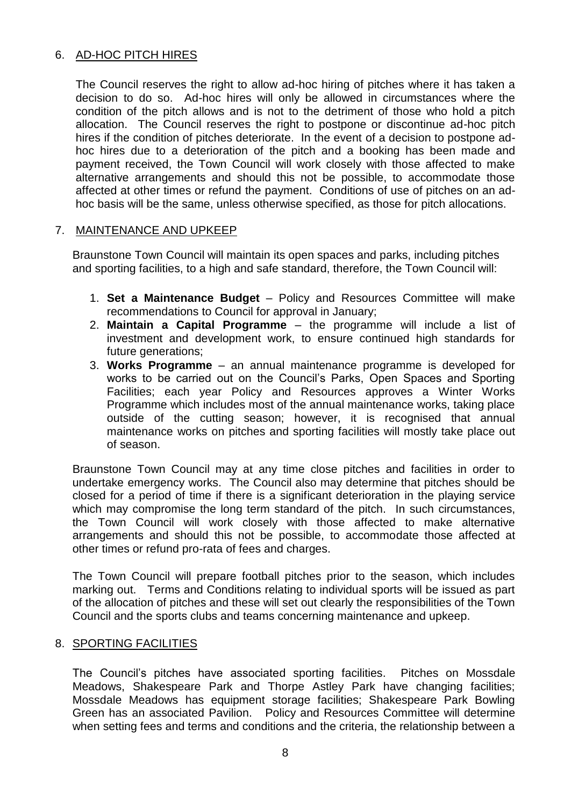## 6. AD-HOC PITCH HIRES

The Council reserves the right to allow ad-hoc hiring of pitches where it has taken a decision to do so. Ad-hoc hires will only be allowed in circumstances where the condition of the pitch allows and is not to the detriment of those who hold a pitch allocation. The Council reserves the right to postpone or discontinue ad-hoc pitch hires if the condition of pitches deteriorate. In the event of a decision to postpone adhoc hires due to a deterioration of the pitch and a booking has been made and payment received, the Town Council will work closely with those affected to make alternative arrangements and should this not be possible, to accommodate those affected at other times or refund the payment. Conditions of use of pitches on an adhoc basis will be the same, unless otherwise specified, as those for pitch allocations.

## 7. MAINTENANCE AND UPKEEP

Braunstone Town Council will maintain its open spaces and parks, including pitches and sporting facilities, to a high and safe standard, therefore, the Town Council will:

- 1. **Set a Maintenance Budget**  Policy and Resources Committee will make recommendations to Council for approval in January;
- 2. **Maintain a Capital Programme**  the programme will include a list of investment and development work, to ensure continued high standards for future generations:
- 3. **Works Programme**  an annual maintenance programme is developed for works to be carried out on the Council's Parks, Open Spaces and Sporting Facilities; each year Policy and Resources approves a Winter Works Programme which includes most of the annual maintenance works, taking place outside of the cutting season; however, it is recognised that annual maintenance works on pitches and sporting facilities will mostly take place out of season.

Braunstone Town Council may at any time close pitches and facilities in order to undertake emergency works. The Council also may determine that pitches should be closed for a period of time if there is a significant deterioration in the playing service which may compromise the long term standard of the pitch. In such circumstances, the Town Council will work closely with those affected to make alternative arrangements and should this not be possible, to accommodate those affected at other times or refund pro-rata of fees and charges.

The Town Council will prepare football pitches prior to the season, which includes marking out. Terms and Conditions relating to individual sports will be issued as part of the allocation of pitches and these will set out clearly the responsibilities of the Town Council and the sports clubs and teams concerning maintenance and upkeep.

## 8. SPORTING FACILITIES

The Council's pitches have associated sporting facilities. Pitches on Mossdale Meadows, Shakespeare Park and Thorpe Astley Park have changing facilities; Mossdale Meadows has equipment storage facilities; Shakespeare Park Bowling Green has an associated Pavilion. Policy and Resources Committee will determine when setting fees and terms and conditions and the criteria, the relationship between a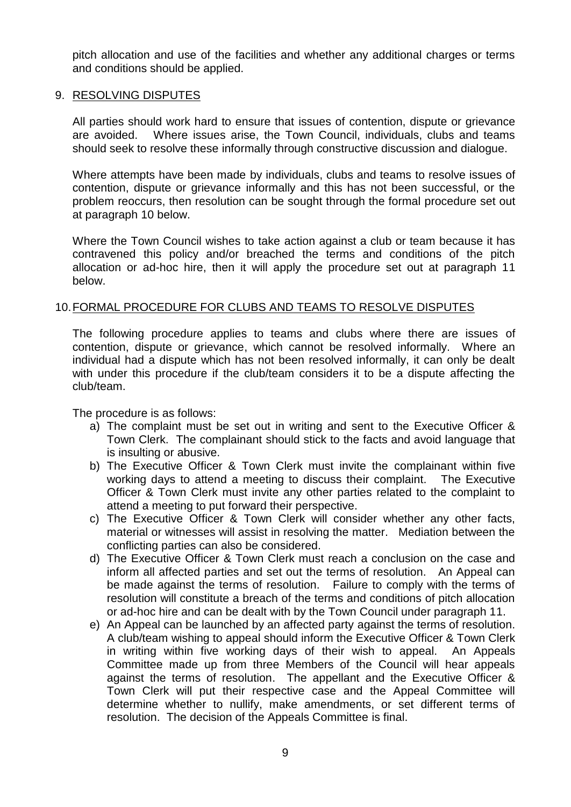pitch allocation and use of the facilities and whether any additional charges or terms and conditions should be applied.

#### 9. RESOLVING DISPUTES

All parties should work hard to ensure that issues of contention, dispute or grievance are avoided. Where issues arise, the Town Council, individuals, clubs and teams should seek to resolve these informally through constructive discussion and dialogue.

Where attempts have been made by individuals, clubs and teams to resolve issues of contention, dispute or grievance informally and this has not been successful, or the problem reoccurs, then resolution can be sought through the formal procedure set out at paragraph 10 below.

Where the Town Council wishes to take action against a club or team because it has contravened this policy and/or breached the terms and conditions of the pitch allocation or ad-hoc hire, then it will apply the procedure set out at paragraph 11 below.

#### 10.FORMAL PROCEDURE FOR CLUBS AND TEAMS TO RESOLVE DISPUTES

The following procedure applies to teams and clubs where there are issues of contention, dispute or grievance, which cannot be resolved informally. Where an individual had a dispute which has not been resolved informally, it can only be dealt with under this procedure if the club/team considers it to be a dispute affecting the club/team.

The procedure is as follows:

- a) The complaint must be set out in writing and sent to the Executive Officer & Town Clerk. The complainant should stick to the facts and avoid language that is insulting or abusive.
- b) The Executive Officer & Town Clerk must invite the complainant within five working days to attend a meeting to discuss their complaint. The Executive Officer & Town Clerk must invite any other parties related to the complaint to attend a meeting to put forward their perspective.
- c) The Executive Officer & Town Clerk will consider whether any other facts, material or witnesses will assist in resolving the matter. Mediation between the conflicting parties can also be considered.
- d) The Executive Officer & Town Clerk must reach a conclusion on the case and inform all affected parties and set out the terms of resolution. An Appeal can be made against the terms of resolution. Failure to comply with the terms of resolution will constitute a breach of the terms and conditions of pitch allocation or ad-hoc hire and can be dealt with by the Town Council under paragraph 11.
- e) An Appeal can be launched by an affected party against the terms of resolution. A club/team wishing to appeal should inform the Executive Officer & Town Clerk in writing within five working days of their wish to appeal. An Appeals Committee made up from three Members of the Council will hear appeals against the terms of resolution. The appellant and the Executive Officer & Town Clerk will put their respective case and the Appeal Committee will determine whether to nullify, make amendments, or set different terms of resolution. The decision of the Appeals Committee is final.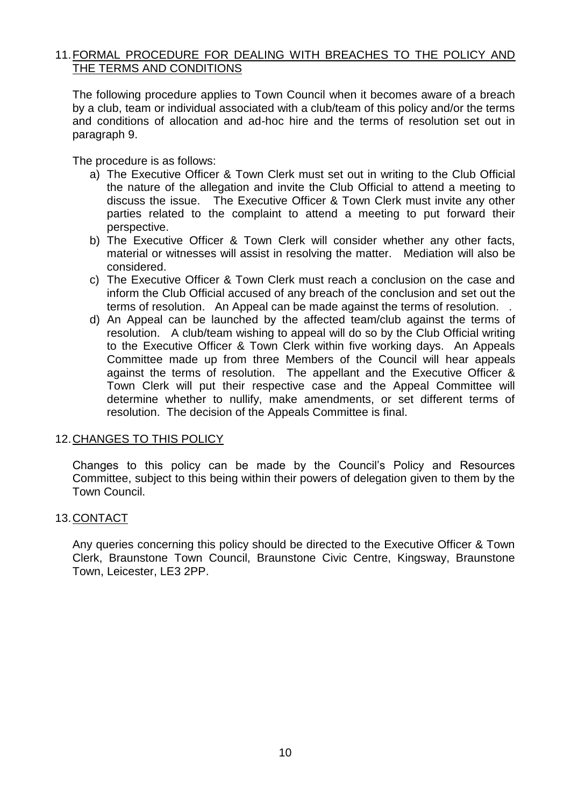## 11.FORMAL PROCEDURE FOR DEALING WITH BREACHES TO THE POLICY AND THE TERMS AND CONDITIONS

The following procedure applies to Town Council when it becomes aware of a breach by a club, team or individual associated with a club/team of this policy and/or the terms and conditions of allocation and ad-hoc hire and the terms of resolution set out in paragraph 9.

The procedure is as follows:

- a) The Executive Officer & Town Clerk must set out in writing to the Club Official the nature of the allegation and invite the Club Official to attend a meeting to discuss the issue. The Executive Officer & Town Clerk must invite any other parties related to the complaint to attend a meeting to put forward their perspective.
- b) The Executive Officer & Town Clerk will consider whether any other facts, material or witnesses will assist in resolving the matter. Mediation will also be considered.
- c) The Executive Officer & Town Clerk must reach a conclusion on the case and inform the Club Official accused of any breach of the conclusion and set out the terms of resolution. An Appeal can be made against the terms of resolution. .
- d) An Appeal can be launched by the affected team/club against the terms of resolution. A club/team wishing to appeal will do so by the Club Official writing to the Executive Officer & Town Clerk within five working days. An Appeals Committee made up from three Members of the Council will hear appeals against the terms of resolution. The appellant and the Executive Officer & Town Clerk will put their respective case and the Appeal Committee will determine whether to nullify, make amendments, or set different terms of resolution. The decision of the Appeals Committee is final.

#### 12.CHANGES TO THIS POLICY

Changes to this policy can be made by the Council's Policy and Resources Committee, subject to this being within their powers of delegation given to them by the Town Council.

#### 13.CONTACT

Any queries concerning this policy should be directed to the Executive Officer & Town Clerk, Braunstone Town Council, Braunstone Civic Centre, Kingsway, Braunstone Town, Leicester, LE3 2PP.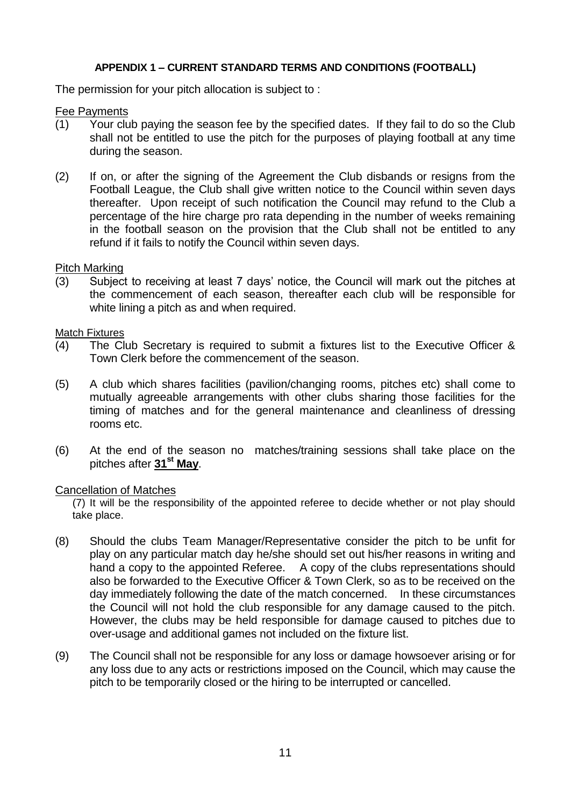#### **APPENDIX 1 – CURRENT STANDARD TERMS AND CONDITIONS (FOOTBALL)**

The permission for your pitch allocation is subject to :

Fee Payments

- (1) Your club paying the season fee by the specified dates. If they fail to do so the Club shall not be entitled to use the pitch for the purposes of playing football at any time during the season.
- (2) If on, or after the signing of the Agreement the Club disbands or resigns from the Football League, the Club shall give written notice to the Council within seven days thereafter. Upon receipt of such notification the Council may refund to the Club a percentage of the hire charge pro rata depending in the number of weeks remaining in the football season on the provision that the Club shall not be entitled to any refund if it fails to notify the Council within seven days.

#### Pitch Marking

(3) Subject to receiving at least 7 days' notice, the Council will mark out the pitches at the commencement of each season, thereafter each club will be responsible for white lining a pitch as and when required.

#### Match Fixtures

- (4) The Club Secretary is required to submit a fixtures list to the Executive Officer & Town Clerk before the commencement of the season.
- (5) A club which shares facilities (pavilion/changing rooms, pitches etc) shall come to mutually agreeable arrangements with other clubs sharing those facilities for the timing of matches and for the general maintenance and cleanliness of dressing rooms etc.
- (6) At the end of the season no matches/training sessions shall take place on the pitches after **31st May**.

#### Cancellation of Matches

(7) It will be the responsibility of the appointed referee to decide whether or not play should take place.

- (8) Should the clubs Team Manager/Representative consider the pitch to be unfit for play on any particular match day he/she should set out his/her reasons in writing and hand a copy to the appointed Referee. A copy of the clubs representations should also be forwarded to the Executive Officer & Town Clerk, so as to be received on the day immediately following the date of the match concerned. In these circumstances the Council will not hold the club responsible for any damage caused to the pitch. However, the clubs may be held responsible for damage caused to pitches due to over-usage and additional games not included on the fixture list.
- (9) The Council shall not be responsible for any loss or damage howsoever arising or for any loss due to any acts or restrictions imposed on the Council, which may cause the pitch to be temporarily closed or the hiring to be interrupted or cancelled.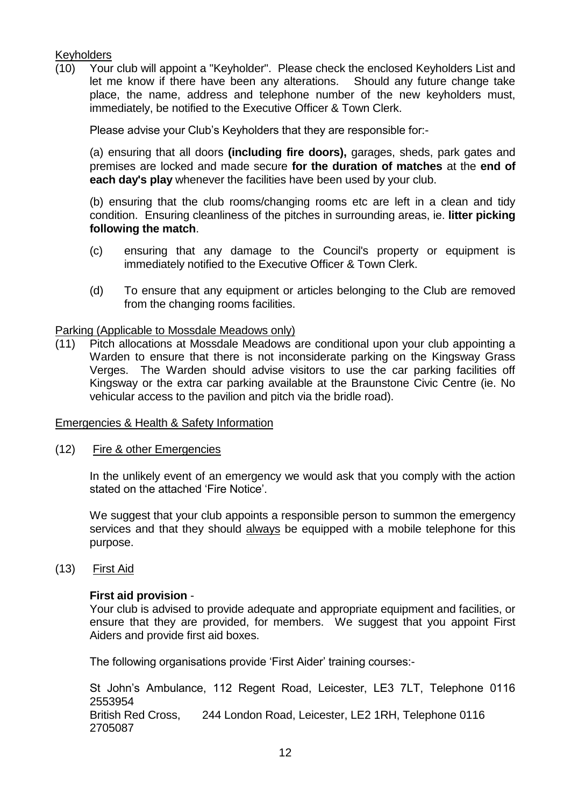## **Keyholders**

(10) Your club will appoint a "Keyholder". Please check the enclosed Keyholders List and let me know if there have been any alterations. Should any future change take place, the name, address and telephone number of the new keyholders must, immediately, be notified to the Executive Officer & Town Clerk.

Please advise your Club's Keyholders that they are responsible for:-

(a) ensuring that all doors **(including fire doors),** garages, sheds, park gates and premises are locked and made secure **for the duration of matches** at the **end of each day's play** whenever the facilities have been used by your club.

(b) ensuring that the club rooms/changing rooms etc are left in a clean and tidy condition. Ensuring cleanliness of the pitches in surrounding areas, ie. **litter picking following the match**.

- (c) ensuring that any damage to the Council's property or equipment is immediately notified to the Executive Officer & Town Clerk.
- (d) To ensure that any equipment or articles belonging to the Club are removed from the changing rooms facilities.

#### Parking (Applicable to Mossdale Meadows only)

(11) Pitch allocations at Mossdale Meadows are conditional upon your club appointing a Warden to ensure that there is not inconsiderate parking on the Kingsway Grass Verges. The Warden should advise visitors to use the car parking facilities off Kingsway or the extra car parking available at the Braunstone Civic Centre (ie. No vehicular access to the pavilion and pitch via the bridle road).

#### Emergencies & Health & Safety Information

(12) Fire & other Emergencies

In the unlikely event of an emergency we would ask that you comply with the action stated on the attached 'Fire Notice'.

We suggest that your club appoints a responsible person to summon the emergency services and that they should always be equipped with a mobile telephone for this purpose.

(13) First Aid

## **First aid provision** -

Your club is advised to provide adequate and appropriate equipment and facilities, or ensure that they are provided, for members. We suggest that you appoint First Aiders and provide first aid boxes.

The following organisations provide 'First Aider' training courses:-

St John's Ambulance, 112 Regent Road, Leicester, LE3 7LT, Telephone 0116 2553954 British Red Cross, 244 London Road, Leicester, LE2 1RH, Telephone 0116 2705087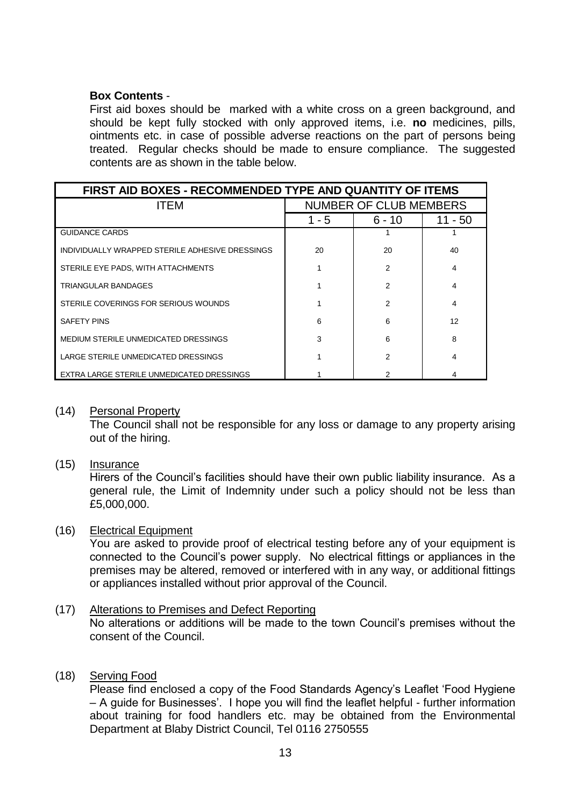## **Box Contents** -

First aid boxes should be marked with a white cross on a green background, and should be kept fully stocked with only approved items, i.e. **no** medicines, pills, ointments etc. in case of possible adverse reactions on the part of persons being treated. Regular checks should be made to ensure compliance. The suggested contents are as shown in the table below.

| FIRST AID BOXES - RECOMMENDED TYPE AND QUANTITY OF ITEMS |                               |        |         |  |
|----------------------------------------------------------|-------------------------------|--------|---------|--|
| <b>ITEM</b>                                              | <b>NUMBER OF CLUB MEMBERS</b> |        |         |  |
|                                                          | 1 - 5                         | 6 - 10 | 11 - 50 |  |
| <b>GUIDANCE CARDS</b>                                    |                               |        |         |  |
| INDIVIDUALLY WRAPPED STERILE ADHESIVE DRESSINGS          | 20                            | 20     | 40      |  |
| STERILE EYE PADS, WITH ATTACHMENTS                       |                               | 2      | 4       |  |
| TRIANGULAR BANDAGES                                      |                               | 2      | 4       |  |
| STERILE COVERINGS FOR SERIOUS WOUNDS                     |                               | 2      | 4       |  |
| <b>SAFETY PINS</b>                                       | 6                             | 6      | 12      |  |
| MEDIUM STERILE UNMEDICATED DRESSINGS                     | 3                             | 6      | 8       |  |
| LARGE STERILE UNMEDICATED DRESSINGS                      |                               | 2      | 4       |  |
| EXTRA LARGE STERILE UNMEDICATED DRESSINGS                |                               | 2      |         |  |

(14) Personal Property

The Council shall not be responsible for any loss or damage to any property arising out of the hiring.

(15) Insurance

Hirers of the Council's facilities should have their own public liability insurance. As a general rule, the Limit of Indemnity under such a policy should not be less than £5,000,000.

## (16) Electrical Equipment

You are asked to provide proof of electrical testing before any of your equipment is connected to the Council's power supply. No electrical fittings or appliances in the premises may be altered, removed or interfered with in any way, or additional fittings or appliances installed without prior approval of the Council.

## (17) Alterations to Premises and Defect Reporting

No alterations or additions will be made to the town Council's premises without the consent of the Council.

## (18) Serving Food

Please find enclosed a copy of the Food Standards Agency's Leaflet 'Food Hygiene – A guide for Businesses'. I hope you will find the leaflet helpful - further information about training for food handlers etc. may be obtained from the Environmental Department at Blaby District Council, Tel 0116 2750555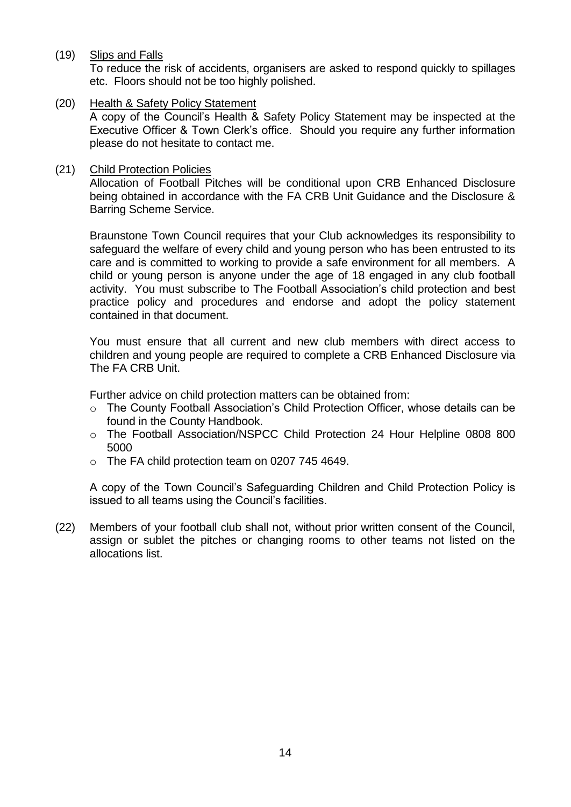(19) Slips and Falls

To reduce the risk of accidents, organisers are asked to respond quickly to spillages etc. Floors should not be too highly polished.

(20) Health & Safety Policy Statement

A copy of the Council's Health & Safety Policy Statement may be inspected at the Executive Officer & Town Clerk's office. Should you require any further information please do not hesitate to contact me.

## (21) Child Protection Policies

Allocation of Football Pitches will be conditional upon CRB Enhanced Disclosure being obtained in accordance with the FA CRB Unit Guidance and the Disclosure & Barring Scheme Service.

Braunstone Town Council requires that your Club acknowledges its responsibility to safeguard the welfare of every child and young person who has been entrusted to its care and is committed to working to provide a safe environment for all members. A child or young person is anyone under the age of 18 engaged in any club football activity. You must subscribe to The Football Association's child protection and best practice policy and procedures and endorse and adopt the policy statement contained in that document.

You must ensure that all current and new club members with direct access to children and young people are required to complete a CRB Enhanced Disclosure via The FA CRB Unit.

Further advice on child protection matters can be obtained from:

- o The County Football Association's Child Protection Officer, whose details can be found in the County Handbook.
- o The Football Association/NSPCC Child Protection 24 Hour Helpline 0808 800 5000
- o The FA child protection team on 0207 745 4649.

A copy of the Town Council's Safeguarding Children and Child Protection Policy is issued to all teams using the Council's facilities.

(22) Members of your football club shall not, without prior written consent of the Council, assign or sublet the pitches or changing rooms to other teams not listed on the allocations list.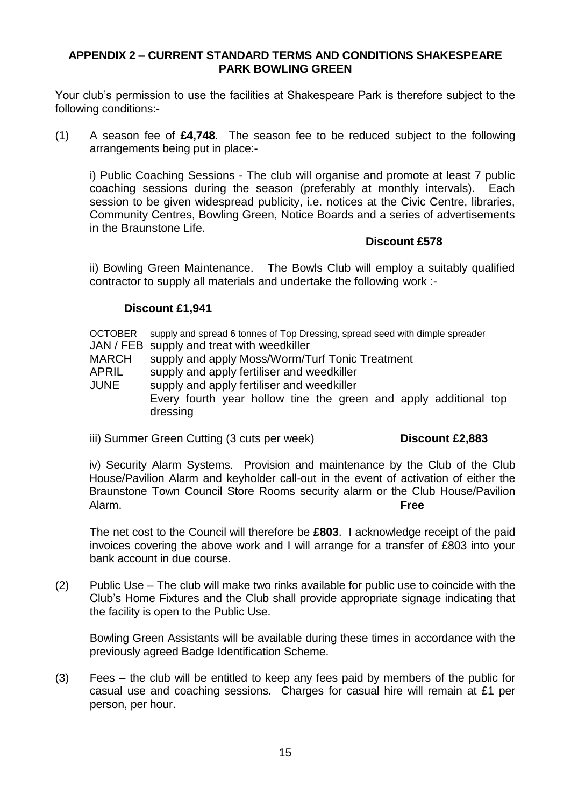## **APPENDIX 2 – CURRENT STANDARD TERMS AND CONDITIONS SHAKESPEARE PARK BOWLING GREEN**

Your club's permission to use the facilities at Shakespeare Park is therefore subject to the following conditions:-

(1) A season fee of **£4,748**. The season fee to be reduced subject to the following arrangements being put in place:-

i) Public Coaching Sessions - The club will organise and promote at least 7 public coaching sessions during the season (preferably at monthly intervals). Each session to be given widespread publicity, i.e. notices at the Civic Centre, libraries, Community Centres, Bowling Green, Notice Boards and a series of advertisements in the Braunstone Life.

## **Discount £578**

ii) Bowling Green Maintenance. The Bowls Club will employ a suitably qualified contractor to supply all materials and undertake the following work :-

## **Discount £1,941**

OCTOBER supply and spread 6 tonnes of Top Dressing, spread seed with dimple spreader

- JAN / FEB supply and treat with weedkiller
- MARCH supply and apply Moss/Worm/Turf Tonic Treatment

APRIL supply and apply fertiliser and weedkiller

JUNE supply and apply fertiliser and weedkiller Every fourth year hollow tine the green and apply additional top dressing

iii) Summer Green Cutting (3 cuts per week) **Discount £2,883** 

iv) Security Alarm Systems. Provision and maintenance by the Club of the Club House/Pavilion Alarm and keyholder call-out in the event of activation of either the Braunstone Town Council Store Rooms security alarm or the Club House/Pavilion Alarm. **Free**

The net cost to the Council will therefore be **£803**. I acknowledge receipt of the paid invoices covering the above work and I will arrange for a transfer of £803 into your bank account in due course.

(2) Public Use – The club will make two rinks available for public use to coincide with the Club's Home Fixtures and the Club shall provide appropriate signage indicating that the facility is open to the Public Use.

Bowling Green Assistants will be available during these times in accordance with the previously agreed Badge Identification Scheme.

(3) Fees – the club will be entitled to keep any fees paid by members of the public for casual use and coaching sessions. Charges for casual hire will remain at £1 per person, per hour.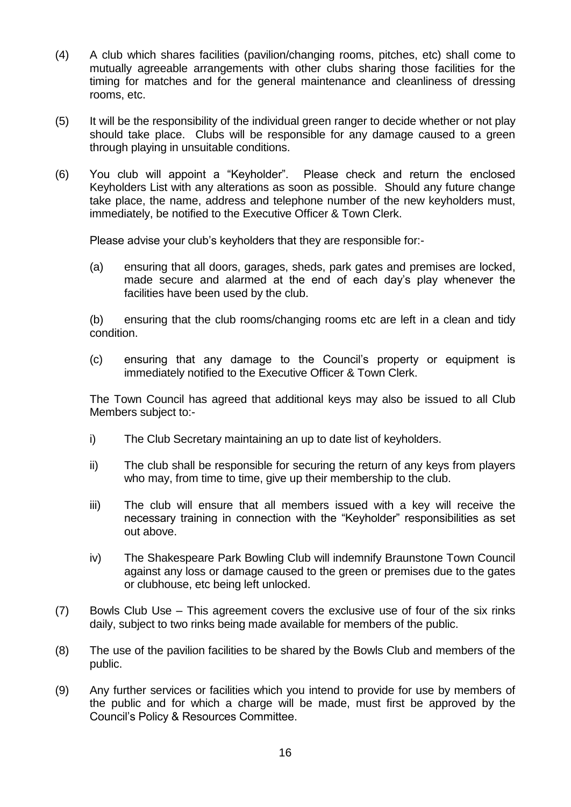- (4) A club which shares facilities (pavilion/changing rooms, pitches, etc) shall come to mutually agreeable arrangements with other clubs sharing those facilities for the timing for matches and for the general maintenance and cleanliness of dressing rooms, etc.
- (5) It will be the responsibility of the individual green ranger to decide whether or not play should take place. Clubs will be responsible for any damage caused to a green through playing in unsuitable conditions.
- (6) You club will appoint a "Keyholder". Please check and return the enclosed Keyholders List with any alterations as soon as possible. Should any future change take place, the name, address and telephone number of the new keyholders must, immediately, be notified to the Executive Officer & Town Clerk.

Please advise your club's keyholders that they are responsible for:-

(a) ensuring that all doors, garages, sheds, park gates and premises are locked, made secure and alarmed at the end of each day's play whenever the facilities have been used by the club.

(b) ensuring that the club rooms/changing rooms etc are left in a clean and tidy condition.

(c) ensuring that any damage to the Council's property or equipment is immediately notified to the Executive Officer & Town Clerk.

The Town Council has agreed that additional keys may also be issued to all Club Members subject to:-

- i) The Club Secretary maintaining an up to date list of keyholders.
- ii) The club shall be responsible for securing the return of any keys from players who may, from time to time, give up their membership to the club.
- iii) The club will ensure that all members issued with a key will receive the necessary training in connection with the "Keyholder" responsibilities as set out above.
- iv) The Shakespeare Park Bowling Club will indemnify Braunstone Town Council against any loss or damage caused to the green or premises due to the gates or clubhouse, etc being left unlocked.
- (7) Bowls Club Use This agreement covers the exclusive use of four of the six rinks daily, subject to two rinks being made available for members of the public.
- (8) The use of the pavilion facilities to be shared by the Bowls Club and members of the public.
- (9) Any further services or facilities which you intend to provide for use by members of the public and for which a charge will be made, must first be approved by the Council's Policy & Resources Committee.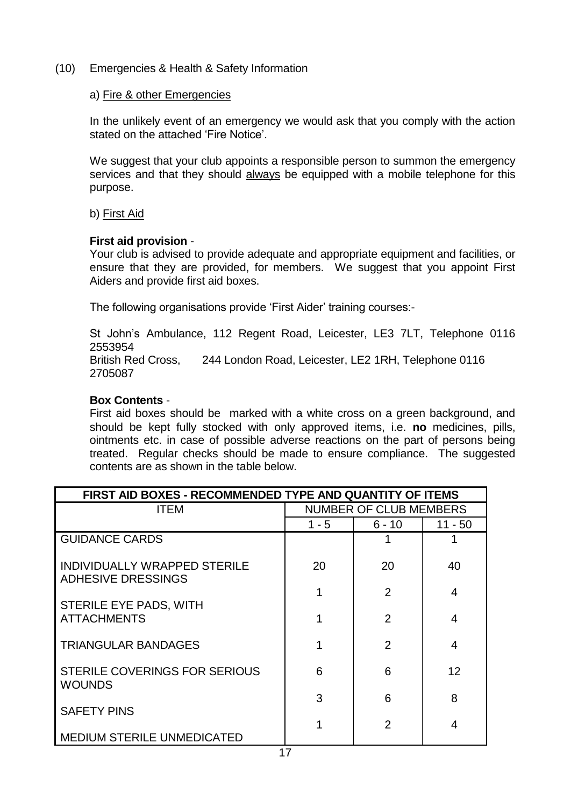(10) Emergencies & Health & Safety Information

#### a) Fire & other Emergencies

In the unlikely event of an emergency we would ask that you comply with the action stated on the attached 'Fire Notice'.

We suggest that your club appoints a responsible person to summon the emergency services and that they should always be equipped with a mobile telephone for this purpose.

b) First Aid

#### **First aid provision** -

Your club is advised to provide adequate and appropriate equipment and facilities, or ensure that they are provided, for members. We suggest that you appoint First Aiders and provide first aid boxes.

The following organisations provide 'First Aider' training courses:-

St John's Ambulance, 112 Regent Road, Leicester, LE3 7LT, Telephone 0116 2553954

British Red Cross, 244 London Road, Leicester, LE2 1RH, Telephone 0116 2705087

## **Box Contents** -

First aid boxes should be marked with a white cross on a green background, and should be kept fully stocked with only approved items, i.e. **no** medicines, pills, ointments etc. in case of possible adverse reactions on the part of persons being treated. Regular checks should be made to ensure compliance. The suggested contents are as shown in the table below.

| FIRST AID BOXES - RECOMMENDED TYPE AND QUANTITY OF ITEMS  |                               |                |                |  |
|-----------------------------------------------------------|-------------------------------|----------------|----------------|--|
| <b>ITEM</b>                                               | <b>NUMBER OF CLUB MEMBERS</b> |                |                |  |
|                                                           | $1 - 5$                       | $6 - 10$       | $11 - 50$      |  |
| <b>GUIDANCE CARDS</b>                                     |                               |                |                |  |
| INDIVIDUALLY WRAPPED STERILE<br><b>ADHESIVE DRESSINGS</b> | 20                            | 20             | 40             |  |
| STERILE EYE PADS, WITH                                    | 1                             | $\overline{2}$ | $\overline{4}$ |  |
| <b>ATTACHMENTS</b>                                        |                               | $\overline{2}$ | 4              |  |
| <b>TRIANGULAR BANDAGES</b>                                |                               | $\overline{2}$ | 4              |  |
| STERILE COVERINGS FOR SERIOUS<br><b>WOUNDS</b>            | 6                             | 6              | 12             |  |
| <b>SAFETY PINS</b>                                        | 3                             | 6              | 8              |  |
|                                                           |                               | 2              | 4              |  |
| <b>MEDIUM STERILE UNMEDICATED</b>                         |                               |                |                |  |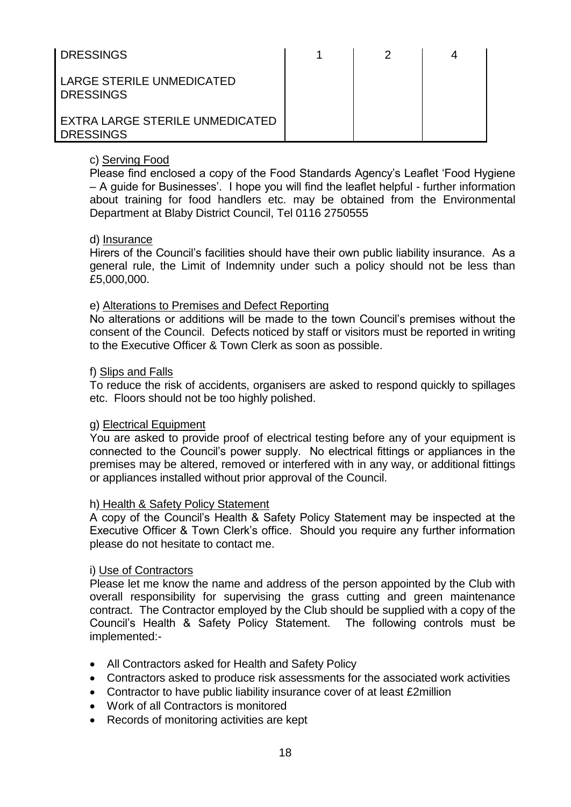| <b>DRESSINGS</b>                                    | 2 |  |
|-----------------------------------------------------|---|--|
| LARGE STERILE UNMEDICATED<br><b>DRESSINGS</b>       |   |  |
| EXTRA LARGE STERILE UNMEDICATED<br><b>DRESSINGS</b> |   |  |

## c) Serving Food

Please find enclosed a copy of the Food Standards Agency's Leaflet 'Food Hygiene – A guide for Businesses'. I hope you will find the leaflet helpful - further information about training for food handlers etc. may be obtained from the Environmental Department at Blaby District Council, Tel 0116 2750555

#### d) Insurance

Hirers of the Council's facilities should have their own public liability insurance. As a general rule, the Limit of Indemnity under such a policy should not be less than £5,000,000.

#### e) Alterations to Premises and Defect Reporting

No alterations or additions will be made to the town Council's premises without the consent of the Council. Defects noticed by staff or visitors must be reported in writing to the Executive Officer & Town Clerk as soon as possible.

#### f) Slips and Falls

To reduce the risk of accidents, organisers are asked to respond quickly to spillages etc. Floors should not be too highly polished.

#### g) Electrical Equipment

You are asked to provide proof of electrical testing before any of your equipment is connected to the Council's power supply. No electrical fittings or appliances in the premises may be altered, removed or interfered with in any way, or additional fittings or appliances installed without prior approval of the Council.

#### h) Health & Safety Policy Statement

A copy of the Council's Health & Safety Policy Statement may be inspected at the Executive Officer & Town Clerk's office. Should you require any further information please do not hesitate to contact me.

#### i) Use of Contractors

Please let me know the name and address of the person appointed by the Club with overall responsibility for supervising the grass cutting and green maintenance contract. The Contractor employed by the Club should be supplied with a copy of the Council's Health & Safety Policy Statement. The following controls must be implemented:-

- All Contractors asked for Health and Safety Policy
- Contractors asked to produce risk assessments for the associated work activities
- Contractor to have public liability insurance cover of at least £2million
- Work of all Contractors is monitored
- Records of monitoring activities are kept